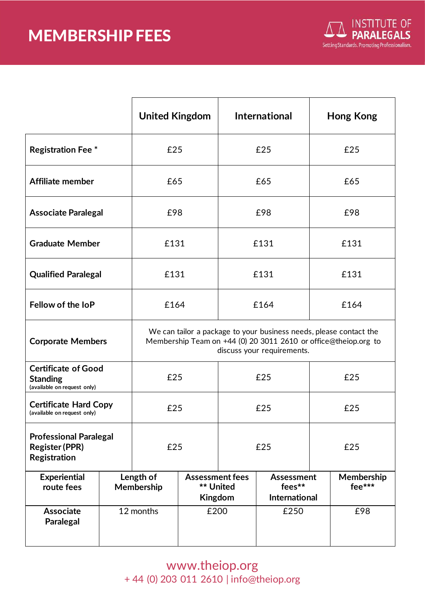## MEMBERSHIP FEES



|                                                                              |  | <b>United Kingdom</b>                                                                                                                                               |                                                |      | <b>International</b>                                |      | <b>Hong Kong</b>     |  |
|------------------------------------------------------------------------------|--|---------------------------------------------------------------------------------------------------------------------------------------------------------------------|------------------------------------------------|------|-----------------------------------------------------|------|----------------------|--|
| <b>Registration Fee *</b>                                                    |  | £25                                                                                                                                                                 |                                                | £25  |                                                     | £25  |                      |  |
| <b>Affiliate member</b>                                                      |  | £65                                                                                                                                                                 |                                                | £65  |                                                     | £65  |                      |  |
| <b>Associate Paralegal</b>                                                   |  | £98                                                                                                                                                                 |                                                | £98  |                                                     | £98  |                      |  |
| <b>Graduate Member</b>                                                       |  | £131                                                                                                                                                                |                                                | £131 |                                                     | £131 |                      |  |
| <b>Qualified Paralegal</b>                                                   |  | £131                                                                                                                                                                |                                                | £131 |                                                     | £131 |                      |  |
| Fellow of the IoP                                                            |  | £164                                                                                                                                                                |                                                | £164 |                                                     | £164 |                      |  |
| <b>Corporate Members</b>                                                     |  | We can tailor a package to your business needs, please contact the<br>Membership Team on +44 (0) 20 3011 2610 or office@theiop.org to<br>discuss your requirements. |                                                |      |                                                     |      |                      |  |
| <b>Certificate of Good</b><br><b>Standing</b><br>(available on request only) |  | £25                                                                                                                                                                 |                                                | £25  |                                                     | £25  |                      |  |
| <b>Certificate Hard Copy</b><br>(available on request only)                  |  | £25                                                                                                                                                                 |                                                | £25  |                                                     | £25  |                      |  |
| <b>Professional Paralegal</b><br><b>Register (PPR)</b><br>Registration       |  | £25                                                                                                                                                                 |                                                | £25  |                                                     | £25  |                      |  |
| <b>Experiential</b><br>route fees                                            |  | Length of<br>Membership                                                                                                                                             | <b>Assessment fees</b><br>** United<br>Kingdom |      | <b>Assessment</b><br>fees**<br><b>International</b> |      | Membership<br>fee*** |  |
| <b>Associate</b><br><b>Paralegal</b>                                         |  | 12 months                                                                                                                                                           | £200                                           |      | £250                                                |      | £98                  |  |